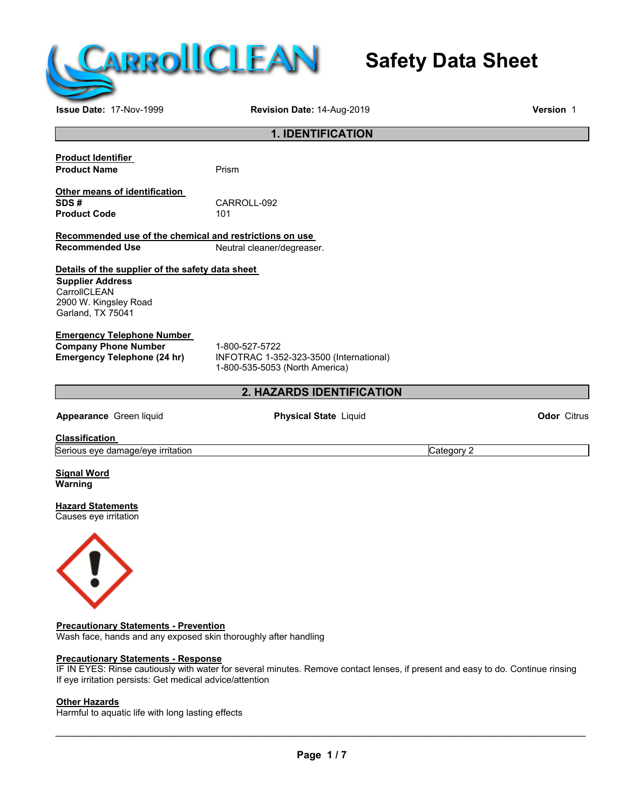

# **Safety Data Sheet**

**Issue Date:** 17-Nov-1999 **Revision Date:** 14-Aug-2019 **Version** 1

## **1. IDENTIFICATION**

**Product Identifier Product Name** Prism

**Other means of identification**  CARROLL-092<br>101 **Product Code** 

**Recommended use of the chemical and restrictions on use Neutral cleaner/degreaser.** 

### **Details of the supplier of the safety data sheet**

**Supplier Address CarrollCLEAN** 2900 W. Kingsley Road Garland, TX 75041

#### **Emergency Telephone Number**

**Company Phone Number** 1-800-527-5722<br> **Emergency Telephone (24 hr)** INFOTRAC 1-35

**Emergency Telephone (24 hr)** INFOTRAC 1-352-323-3500 (International) 1-800-535-5053 (North America)

## **2. HAZARDS IDENTIFICATION**

**Appearance** Green liquid **Physical State** Liquid **Odor** Citrus

**Classification** 

Serious eye damage/eye irritation contract the contract of category 2 Category 2

**Signal Word Warning** 

**Hazard Statements** Causes eye irritation



**Precautionary Statements - Prevention** Wash face, hands and any exposed skin thoroughly after handling

#### **Precautionary Statements - Response**

IF IN EYES: Rinse cautiously with water for several minutes. Remove contact lenses, if present and easy to do. Continue rinsing If eye irritation persists: Get medical advice/attention

#### **Other Hazards**

Harmful to aquatic life with long lasting effects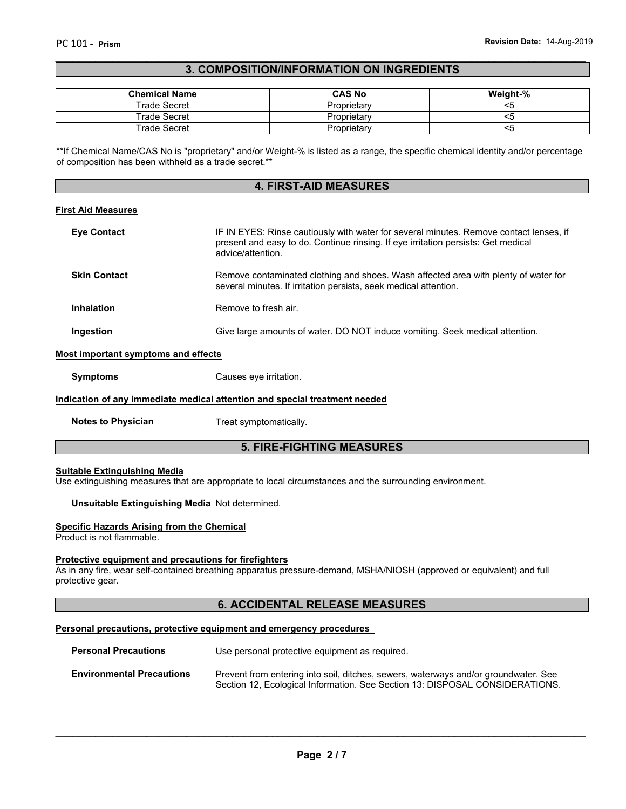#### \_\_\_\_\_\_\_\_\_\_\_\_\_\_\_\_\_\_\_\_\_\_\_\_\_\_\_\_\_\_\_\_\_\_\_\_\_\_\_\_\_\_\_\_\_\_\_\_\_\_\_\_\_\_\_\_\_\_\_\_\_\_\_\_\_\_\_\_\_\_\_\_\_\_\_\_\_\_\_\_\_\_\_\_\_\_\_\_\_\_\_\_\_ **3. COMPOSITION/INFORMATION ON INGREDIENTS**

| <b>Chemical Name</b> | <b>CAS No</b> | Weight-% |
|----------------------|---------------|----------|
| Trade Secret         | Proprietary   |          |
| Trade Secret         | Proprietarv   |          |
| Trade Secret         | Proprietary   |          |

\*\*If Chemical Name/CAS No is "proprietary" and/or Weight-% is listed as a range, the specific chemical identity and/or percentage of composition has been withheld as a trade secret.\*\*

#### **4. FIRST-AID MEASURES**

#### **First Aid Measures**

| <b>Eye Contact</b>  | IF IN EYES: Rinse cautiously with water for several minutes. Remove contact lenses, if<br>present and easy to do. Continue rinsing. If eye irritation persists: Get medical<br>advice/attention. |
|---------------------|--------------------------------------------------------------------------------------------------------------------------------------------------------------------------------------------------|
| <b>Skin Contact</b> | Remove contaminated clothing and shoes. Wash affected area with plenty of water for<br>several minutes. If irritation persists, seek medical attention.                                          |
| <b>Inhalation</b>   | Remove to fresh air.                                                                                                                                                                             |
| Ingestion           | Give large amounts of water. DO NOT induce vomiting. Seek medical attention.                                                                                                                     |

#### **Most important symptoms and effects**

**Symptoms Causes eye irritation.** 

#### **Indication of any immediate medical attention and special treatment needed**

**Notes to Physician**  Treat symptomatically.

#### **5. FIRE-FIGHTING MEASURES**

#### **Suitable Extinguishing Media**

Use extinguishing measures that are appropriate to local circumstances and the surrounding environment.

#### **Unsuitable Extinguishing Media** Not determined.

#### **Specific Hazards Arising from the Chemical**

Product is not flammable.

#### **Protective equipment and precautions for firefighters**

As in any fire, wear self-contained breathing apparatus pressure-demand, MSHA/NIOSH (approved or equivalent) and full protective gear.

#### **6. ACCIDENTAL RELEASE MEASURES**

#### **Personal precautions, protective equipment and emergency procedures**

| <b>Personal Precautions</b>      | Use personal protective equipment as required.                                                                                                                      |
|----------------------------------|---------------------------------------------------------------------------------------------------------------------------------------------------------------------|
| <b>Environmental Precautions</b> | Prevent from entering into soil, ditches, sewers, waterways and/or groundwater. See<br>Section 12, Ecological Information. See Section 13: DISPOSAL CONSIDERATIONS. |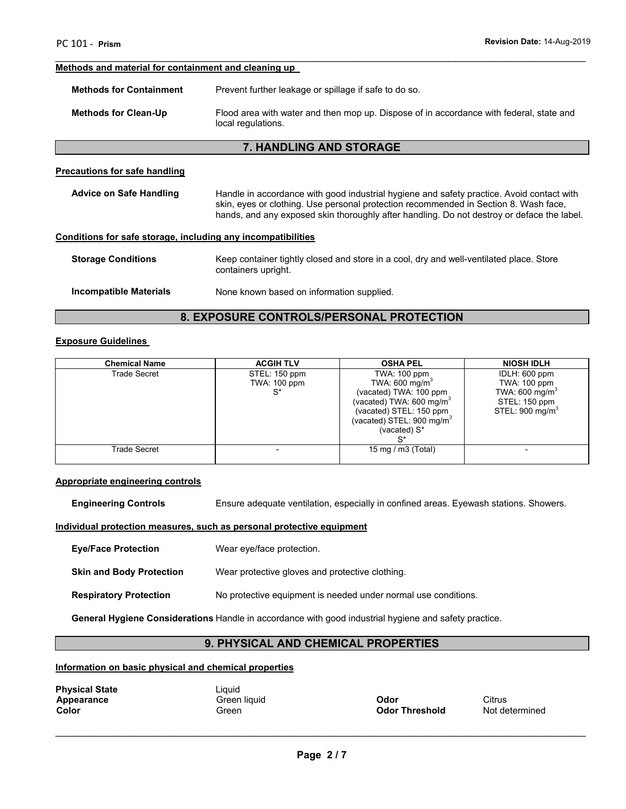#### **Methods and material for containment and cleaning up**

**Methods for Containment** Prevent further leakage or spillage if safe to do so.

**Methods for Clean-Up** Flood area with water and then mop up. Dispose of in accordance with federal, state and local regulations.

\_\_\_\_\_\_\_\_\_\_\_\_\_\_\_\_\_\_\_\_\_\_\_\_\_\_\_\_\_\_\_\_\_\_\_\_\_\_\_\_\_\_\_\_\_\_\_\_\_\_\_\_\_\_\_\_\_\_\_\_\_\_\_\_\_\_\_\_\_\_\_\_\_\_\_\_\_\_\_\_\_\_\_\_\_\_\_\_\_\_\_\_\_

#### **7. HANDLING AND STORAGE**

#### **Precautions for safe handling**

| <b>Advice on Safe Handling</b>                               | Handle in accordance with good industrial hygiene and safety practice. Avoid contact with<br>skin, eyes or clothing. Use personal protection recommended in Section 8. Wash face,<br>hands, and any exposed skin thoroughly after handling. Do not destroy or deface the label. |  |
|--------------------------------------------------------------|---------------------------------------------------------------------------------------------------------------------------------------------------------------------------------------------------------------------------------------------------------------------------------|--|
| Conditions for safe storage, including any incompatibilities |                                                                                                                                                                                                                                                                                 |  |
| <b>Storage Conditions</b>                                    | Keep container tightly closed and store in a cool, dry and well-ventilated place. Store<br>containers upright.                                                                                                                                                                  |  |

**Incompatible Materials** None known based on information supplied.

## **8. EXPOSURE CONTROLS/PERSONAL PROTECTION**

#### **Exposure Guidelines**

| <b>Chemical Name</b> | <b>ACGIH TLV</b>                                 | <b>OSHA PEL</b>                                                                                                                                                                                 | <b>NIOSH IDLH</b>                                                                                           |
|----------------------|--------------------------------------------------|-------------------------------------------------------------------------------------------------------------------------------------------------------------------------------------------------|-------------------------------------------------------------------------------------------------------------|
| Trade Secret         | STEL: 150 ppm<br>TWA: 100 ppm<br>$_{\mathsf{c}}$ | TWA: 100 ppm<br>TWA: $600 \text{ mg/m}^3$<br>(vacated) TWA: 100 ppm<br>(vacated) TWA: 600 mg/m <sup>3</sup><br>(vacated) STEL: 150 ppm<br>(vacated) STEL: 900 mg/m <sup>3</sup><br>(vacated) S* | IDLH: 600 ppm<br>TWA: 100 ppm<br>TWA: 600 mg/m <sup>3</sup><br>STEL: 150 ppm<br>STEL: 900 mg/m <sup>3</sup> |
| Trade Secret         |                                                  | 15 mg / m $3$ (Total)                                                                                                                                                                           |                                                                                                             |

#### **Appropriate engineering controls**

**Engineering Controls** Ensure adequate ventilation, especially in confined areas. Eyewash stations. Showers.

#### **Individual protection measures, such as personal protective equipment**

**Eye/Face Protection** Wear eye/face protection.

**Skin and Body Protection** Wear protective gloves and protective clothing.

**Respiratory Protection** No protective equipment is needed under normal use conditions.

**General Hygiene Considerations** Handle in accordance with good industrial hygiene and safety practice.

## **9. PHYSICAL AND CHEMICAL PROPERTIES**

#### **Information on basic physical and chemical properties**

| <b>Physical State</b> |  |
|-----------------------|--|
| Appearance            |  |
| Color                 |  |

Liquid

**A** Green liquid **Apple 2 Citrus**<br> **Apple 2 Codor Contract Contract Contract Contract Contract Contract Contract Citrus Citrus** 

**Not determined**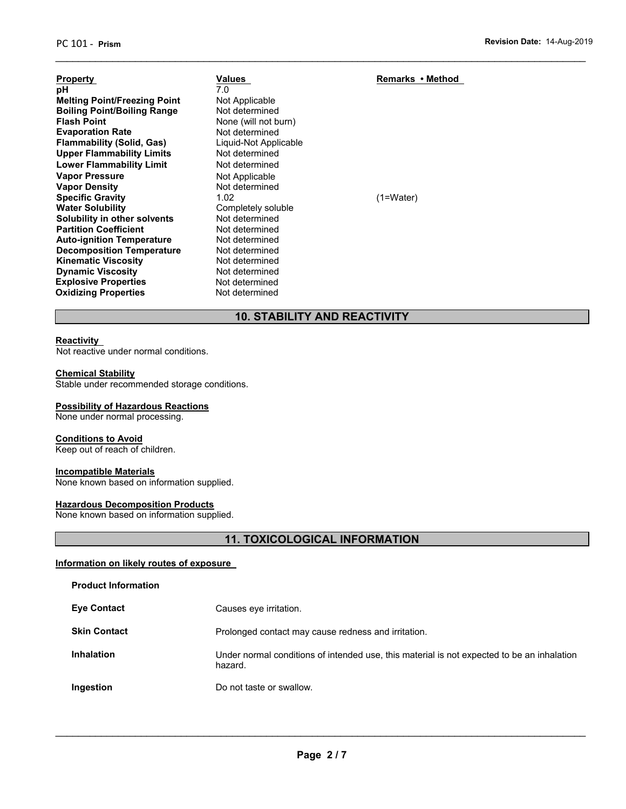| <b>Property</b>                     | Values                | Remarks • Method |
|-------------------------------------|-----------------------|------------------|
| рH                                  | 7.0                   |                  |
| <b>Melting Point/Freezing Point</b> | Not Applicable        |                  |
| <b>Boiling Point/Boiling Range</b>  | Not determined        |                  |
| <b>Flash Point</b>                  | None (will not burn)  |                  |
| <b>Evaporation Rate</b>             | Not determined        |                  |
| <b>Flammability (Solid, Gas)</b>    | Liquid-Not Applicable |                  |
| <b>Upper Flammability Limits</b>    | Not determined        |                  |
| <b>Lower Flammability Limit</b>     | Not determined        |                  |
| <b>Vapor Pressure</b>               | Not Applicable        |                  |
| <b>Vapor Density</b>                | Not determined        |                  |
| <b>Specific Gravity</b>             | 1.02                  | $(1=Water)$      |
| <b>Water Solubility</b>             | Completely soluble    |                  |
| Solubility in other solvents        | Not determined        |                  |
| <b>Partition Coefficient</b>        | Not determined        |                  |
| <b>Auto-ignition Temperature</b>    | Not determined        |                  |
| <b>Decomposition Temperature</b>    | Not determined        |                  |
| <b>Kinematic Viscosity</b>          | Not determined        |                  |
| <b>Dynamic Viscosity</b>            | Not determined        |                  |
| <b>Explosive Properties</b>         | Not determined        |                  |
| <b>Oxidizing Properties</b>         | Not determined        |                  |

## **10. STABILITY AND REACTIVITY**

\_\_\_\_\_\_\_\_\_\_\_\_\_\_\_\_\_\_\_\_\_\_\_\_\_\_\_\_\_\_\_\_\_\_\_\_\_\_\_\_\_\_\_\_\_\_\_\_\_\_\_\_\_\_\_\_\_\_\_\_\_\_\_\_\_\_\_\_\_\_\_\_\_\_\_\_\_\_\_\_\_\_\_\_\_\_\_\_\_\_\_\_\_

#### **Reactivity**

Not reactive under normal conditions.

#### **Chemical Stability**

Stable under recommended storage conditions.

#### **Possibility of Hazardous Reactions**

None under normal processing.

#### **Conditions to Avoid**

Keep out of reach of children.

#### **Incompatible Materials**

None known based on information supplied.

#### **Hazardous Decomposition Products**

None known based on information supplied.

## **11. TOXICOLOGICAL INFORMATION**

#### **Information on likely routes of exposure**

| <b>Product Information</b> |                                                                                                       |
|----------------------------|-------------------------------------------------------------------------------------------------------|
| <b>Eye Contact</b>         | Causes eye irritation.                                                                                |
| <b>Skin Contact</b>        | Prolonged contact may cause redness and irritation.                                                   |
| <b>Inhalation</b>          | Under normal conditions of intended use, this material is not expected to be an inhalation<br>hazard. |
| Ingestion                  | Do not taste or swallow.                                                                              |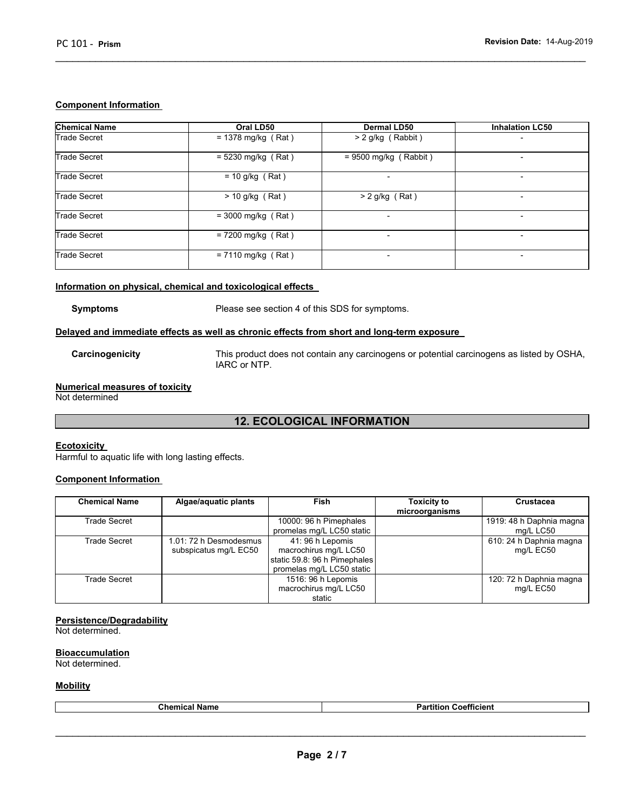#### **Component Information**

| <b>Chemical Name</b> | Oral LD50            | <b>Dermal LD50</b>       | <b>Inhalation LC50</b>   |
|----------------------|----------------------|--------------------------|--------------------------|
| <b>Trade Secret</b>  | $= 1378$ mg/kg (Rat) | $> 2$ g/kg (Rabbit)      |                          |
| <b>Trade Secret</b>  | $= 5230$ mg/kg (Rat) | $= 9500$ mg/kg (Rabbit)  |                          |
| <b>Trade Secret</b>  | $= 10$ g/kg (Rat)    | $\overline{\phantom{0}}$ |                          |
| <b>Trade Secret</b>  | $>$ 10 g/kg (Rat)    | $> 2$ g/kg (Rat)         | -                        |
| <b>Trade Secret</b>  | $= 3000$ mg/kg (Rat) | $\overline{\phantom{a}}$ | $\overline{\phantom{a}}$ |
| <b>Trade Secret</b>  | $= 7200$ mg/kg (Rat) | -                        | $\overline{\phantom{a}}$ |
| <b>Trade Secret</b>  | $= 7110$ mg/kg (Rat) | -                        | $\overline{\phantom{a}}$ |

\_\_\_\_\_\_\_\_\_\_\_\_\_\_\_\_\_\_\_\_\_\_\_\_\_\_\_\_\_\_\_\_\_\_\_\_\_\_\_\_\_\_\_\_\_\_\_\_\_\_\_\_\_\_\_\_\_\_\_\_\_\_\_\_\_\_\_\_\_\_\_\_\_\_\_\_\_\_\_\_\_\_\_\_\_\_\_\_\_\_\_\_\_

#### **Information on physical, chemical and toxicological effects**

**Symptoms** Please see section 4 of this SDS for symptoms.

#### **Delayed and immediate effects as well as chronic effects from short and long-term exposure**

**Carcinogenicity** This product does not contain any carcinogens or potential carcinogens as listed by OSHA, IARC or NTP.

## **Numerical measures of toxicity**

Not determined

## **12. ECOLOGICAL INFORMATION**

#### **Ecotoxicity**

Harmful to aquatic life with long lasting effects.

#### **Component Information**

| <b>Chemical Name</b> | Algae/aquatic plants                            | Fish                                                                                                  | <b>Toxicity to</b><br>microorganisms | <b>Crustacea</b>                      |
|----------------------|-------------------------------------------------|-------------------------------------------------------------------------------------------------------|--------------------------------------|---------------------------------------|
| Trade Secret         |                                                 | 10000: 96 h Pimephales<br>promelas mg/L LC50 static                                                   |                                      | 1919: 48 h Daphnia magna<br>mg/L LC50 |
| Trade Secret         | 1.01: 72 h Desmodesmus<br>subspicatus mg/L EC50 | 41:96 h Lepomis<br>macrochirus mg/L LC50<br>static 59.8: 96 h Pimephales<br>promelas mg/L LC50 static |                                      | 610: 24 h Daphnia magna<br>mg/L EC50  |
| Trade Secret         |                                                 | 1516: 96 h Lepomis<br>macrochirus mg/L LC50<br>static                                                 |                                      | 120: 72 h Daphnia magna<br>mg/L EC50  |

#### **Persistence/Degradability**

Not determined.

#### **Bioaccumulation**

Not determined.

#### **Mobility**

| <b>Chemic.</b><br>name | ---<br>.<br>Partition<br>Coefficient |
|------------------------|--------------------------------------|
|                        |                                      |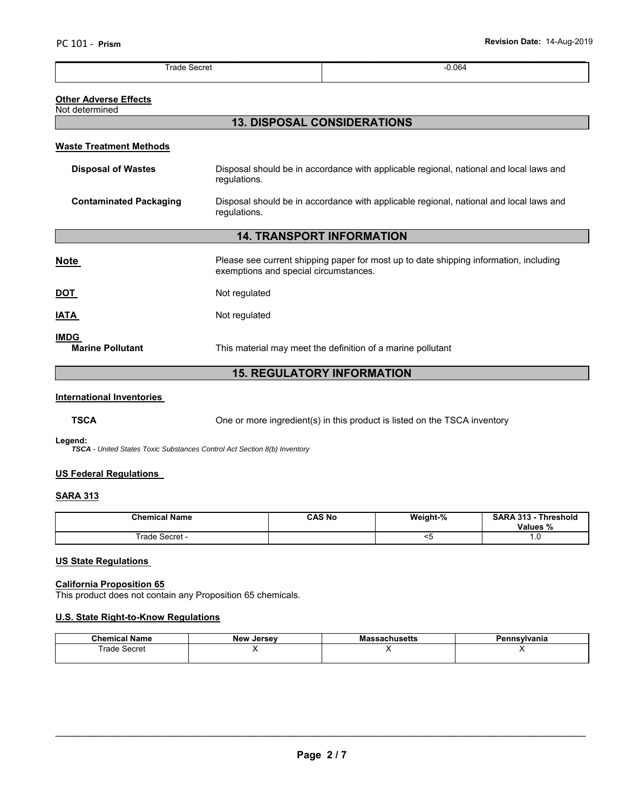| .<br>Secre: | 0.064<br>. |
|-------------|------------|

#### **Other Adverse Effects**

#### Not determined

## **13. DISPOSAL CONSIDERATIONS**

#### **Waste Treatment Methods**

| <b>Disposal of Wastes</b>              | Disposal should be in accordance with applicable regional, national and local laws and<br>regulations.                         |  |  |  |
|----------------------------------------|--------------------------------------------------------------------------------------------------------------------------------|--|--|--|
| <b>Contaminated Packaging</b>          | Disposal should be in accordance with applicable regional, national and local laws and<br>regulations.                         |  |  |  |
| <b>14. TRANSPORT INFORMATION</b>       |                                                                                                                                |  |  |  |
| <b>Note</b>                            | Please see current shipping paper for most up to date shipping information, including<br>exemptions and special circumstances. |  |  |  |
| <u>DOT</u>                             | Not regulated                                                                                                                  |  |  |  |
| IATA                                   | Not regulated                                                                                                                  |  |  |  |
| <b>IMDG</b><br><b>Marine Pollutant</b> | This material may meet the definition of a marine pollutant                                                                    |  |  |  |

## **15. REGULATORY INFORMATION**

#### **International Inventories**

**TSCA** One or more ingredient(s) in this product is listed on the TSCA inventory

#### **Legend:**

*TSCA - United States Toxic Substances Control Act Section 8(b) Inventory* 

#### **US Federal Regulations**

#### **SARA 313**

| <b>Chemical Name</b> | <b>CAS No</b> | Weight-% | <b>SARA 313 -</b><br>Threshold<br>Values % |
|----------------------|---------------|----------|--------------------------------------------|
| Secret -<br>⊺rade    |               |          | . . v                                      |

#### **US State Regulations**

#### **California Proposition 65**

This product does not contain any Proposition 65 chemicals.

#### **U.S. State Right-to-Know Regulations**

| <b>Chemical Name</b> | New Jersey | <b>Massachusetts</b> | Pennsylvania |
|----------------------|------------|----------------------|--------------|
| Trade Secret         |            |                      |              |